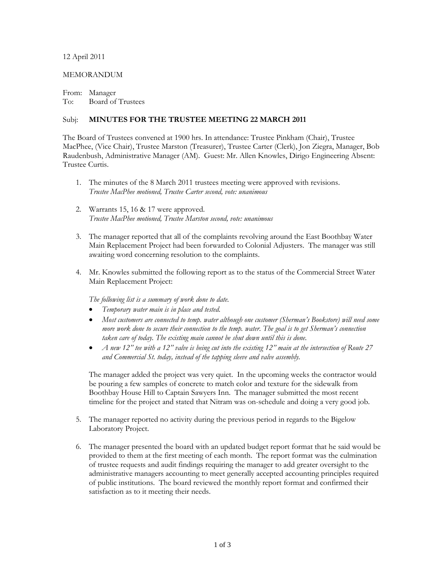## 12 April 2011

## MEMORANDUM

From: Manager To: Board of Trustees

## Subj: **MINUTES FOR THE TRUSTEE MEETING 22 MARCH 2011**

The Board of Trustees convened at 1900 hrs. In attendance: Trustee Pinkham (Chair), Trustee MacPhee, (Vice Chair), Trustee Marston (Treasurer), Trustee Carter (Clerk), Jon Ziegra, Manager, Bob Raudenbush, Administrative Manager (AM). Guest: Mr. Allen Knowles, Dirigo Engineering Absent: Trustee Curtis.

- 1. The minutes of the 8 March 2011 trustees meeting were approved with revisions. *Trustee MacPhee motioned, Trustee Carter second, vote: unanimous*
- 2. Warrants 15, 16 & 17 were approved. *Trustee MacPhee motioned, Trustee Marston second, vote: unanimous*
- 3. The manager reported that all of the complaints revolving around the East Boothbay Water Main Replacement Project had been forwarded to Colonial Adjusters. The manager was still awaiting word concerning resolution to the complaints.
- 4. Mr. Knowles submitted the following report as to the status of the Commercial Street Water Main Replacement Project:

*The following list is a summary of work done to date.*

- *Temporary water main is in place and tested.*
- *Most customers are connected to temp. water although one customer (Sherman's Bookstore) will need some more work done to secure their connection to the temp. water. The goal is to get Sherman's connection taken care of today. The existing main cannot be shut down until this is done.*
- *A new 12" tee with a 12" valve is being cut into the existing 12" main at the intersection of Route 27 and Commercial St. today, instead of the tapping sleeve and valve assembly.*

The manager added the project was very quiet. In the upcoming weeks the contractor would be pouring a few samples of concrete to match color and texture for the sidewalk from Boothbay House Hill to Captain Sawyers Inn. The manager submitted the most recent timeline for the project and stated that Nitram was on-schedule and doing a very good job.

- 5. The manager reported no activity during the previous period in regards to the Bigelow Laboratory Project.
- 6. The manager presented the board with an updated budget report format that he said would be provided to them at the first meeting of each month. The report format was the culmination of trustee requests and audit findings requiring the manager to add greater oversight to the administrative managers accounting to meet generally accepted accounting principles required of public institutions. The board reviewed the monthly report format and confirmed their satisfaction as to it meeting their needs.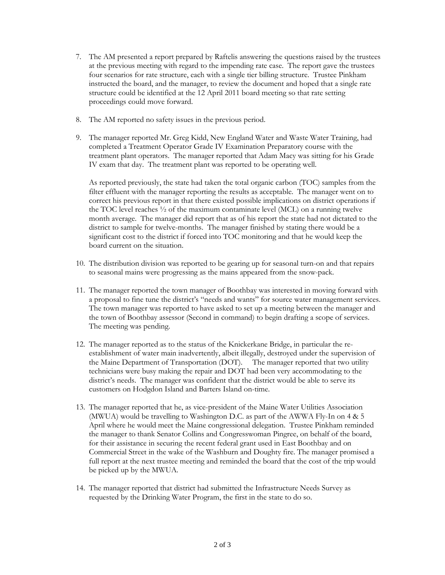- 7. The AM presented a report prepared by Raftelis answering the questions raised by the trustees at the previous meeting with regard to the impending rate case. The report gave the trustees four scenarios for rate structure, each with a single tier billing structure. Trustee Pinkham instructed the board, and the manager, to review the document and hoped that a single rate structure could be identified at the 12 April 2011 board meeting so that rate setting proceedings could move forward.
- 8. The AM reported no safety issues in the previous period.
- 9. The manager reported Mr. Greg Kidd, New England Water and Waste Water Training, had completed a Treatment Operator Grade IV Examination Preparatory course with the treatment plant operators. The manager reported that Adam Macy was sitting for his Grade IV exam that day. The treatment plant was reported to be operating well.

As reported previously, the state had taken the total organic carbon (TOC) samples from the filter effluent with the manager reporting the results as acceptable. The manager went on to correct his previous report in that there existed possible implications on district operations if the TOC level reaches ½ of the maximum contaminate level (MCL) on a running twelve month average. The manager did report that as of his report the state had not dictated to the district to sample for twelve-months. The manager finished by stating there would be a significant cost to the district if forced into TOC monitoring and that he would keep the board current on the situation.

- 10. The distribution division was reported to be gearing up for seasonal turn-on and that repairs to seasonal mains were progressing as the mains appeared from the snow-pack.
- 11. The manager reported the town manager of Boothbay was interested in moving forward with a proposal to fine tune the district's "needs and wants" for source water management services. The town manager was reported to have asked to set up a meeting between the manager and the town of Boothbay assessor (Second in command) to begin drafting a scope of services. The meeting was pending.
- 12. The manager reported as to the status of the Knickerkane Bridge, in particular the reestablishment of water main inadvertently, albeit illegally, destroyed under the supervision of the Maine Department of Transportation (DOT). The manager reported that two utility technicians were busy making the repair and DOT had been very accommodating to the district's needs. The manager was confident that the district would be able to serve its customers on Hodgdon Island and Barters Island on-time.
- 13. The manager reported that he, as vice-president of the Maine Water Utilities Association (MWUA) would be travelling to Washington D.C. as part of the AWWA Fly-In on 4 & 5 April where he would meet the Maine congressional delegation. Trustee Pinkham reminded the manager to thank Senator Collins and Congresswoman Pingree, on behalf of the board, for their assistance in securing the recent federal grant used in East Boothbay and on Commercial Street in the wake of the Washburn and Doughty fire. The manager promised a full report at the next trustee meeting and reminded the board that the cost of the trip would be picked up by the MWUA.
- 14. The manager reported that district had submitted the Infrastructure Needs Survey as requested by the Drinking Water Program, the first in the state to do so.